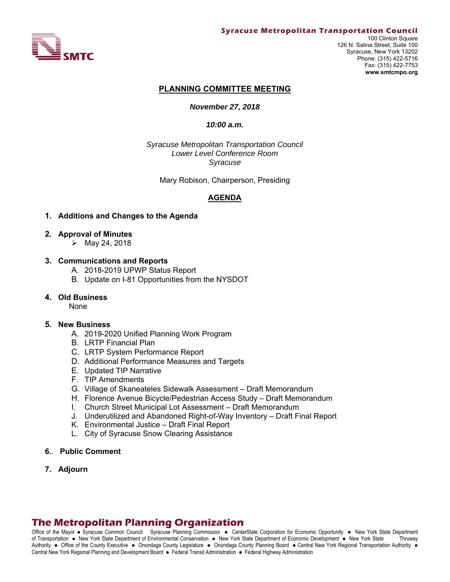

#### **PLANNING COMMITTEE MEETING**

#### *November 27, 2018*

#### *10:00 a.m.*

*Syracuse Metropolitan Transportation Council Lower Level Conference Room Syracuse* 

Mary Robison, Chairperson, Presiding

#### **AGENDA**

#### **1. Additions and Changes to the Agenda**

- **2. Approval of Minutes** 
	- May 24, 2018

#### **3. Communications and Reports**

- A. 2018-2019 UPWP Status Report
- B. Update on I-81 Opportunities from the NYSDOT

#### **4. Old Business**

None

#### **5. New Business**

- A. 2019-2020 Unified Planning Work Program
- B. LRTP Financial Plan
- C. LRTP System Performance Report
- D. Additional Performance Measures and Targets
- E. Updated TIP Narrative
- F. TIP Amendments
- G. Village of Skaneateles Sidewalk Assessment Draft Memorandum
- H. Florence Avenue Bicycle/Pedestrian Access Study Draft Memorandum
- I. Church Street Municipal Lot Assessment Draft Memorandum
- J. Underutilized and Abandoned Right-of-Way Inventory Draft Final Report
- K. Environmental Justice Draft Final Report
- L. City of Syracuse Snow Clearing Assistance
- **6.**. **Public Comment**
- **7. Adjourn**

# **The Metropolitan Planning Organization**

Office of the Mayor • Syracuse Common Council Syracuse Planning Commission • CenterState Corporation for Economic Opportunity • New York State Department of Transportation New York State Department of Environmental Conservation New York State Department of Economic Development New York State Thruway Authority . Office of the County Executive . Onondaga County Legislature . Onondaga County Planning Board . Central New York Regional Transportation Authority . Central New York Regional Planning and Development Board · Federal Transit Administration · Federal Highway Administration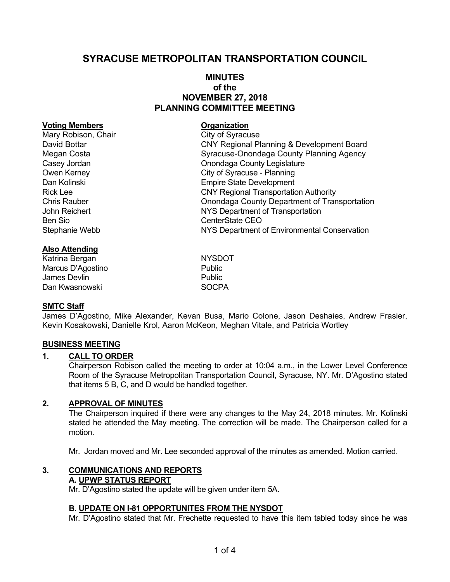# **SYRACUSE METROPOLITAN TRANSPORTATION COUNCIL**

# **MINUTES of the NOVEMBER 27, 2018 PLANNING COMMITTEE MEETING**

#### **Voting Members Construction Construction Construction Construction Construction Construction Construction Construction Construction Construction Construction Construction Construction Construction Construction Constructio**

Mary Robison, Chair City of Syracuse David Bottar CNY Regional Planning & Development Board Megan Costa **Syracuse-Onondaga County Planning Agency** Casey Jordan Casey Jordan Casey Jordan Casey Jordan Casey Jordan County Legislature Owen Kerney **City of Syracuse** - Planning Dan Kolinski Empire State Development Rick Lee CNY Regional Transportation Authority Chris Rauber Onondaga County Department of Transportation John Reichert NYS Department of Transportation Ben Sio **CenterState CEO** Stephanie Webb NYS Department of Environmental Conservation

### **Also Attending**

Katrina Bergan NYSDOT Marcus D'Agostino **Public** James Devlin **Public** Dan Kwasnowski SOCPA

#### **SMTC Staff**

James D'Agostino, Mike Alexander, Kevan Busa, Mario Colone, Jason Deshaies, Andrew Frasier, Kevin Kosakowski, Danielle Krol, Aaron McKeon, Meghan Vitale, and Patricia Wortley

# **BUSINESS MEETING**

#### **1. CALL TO ORDER**

Chairperson Robison called the meeting to order at 10:04 a.m., in the Lower Level Conference Room of the Syracuse Metropolitan Transportation Council, Syracuse, NY. Mr. D'Agostino stated that items 5 B, C, and D would be handled together.

#### **2. APPROVAL OF MINUTES**

The Chairperson inquired if there were any changes to the May 24, 2018 minutes. Mr. Kolinski stated he attended the May meeting. The correction will be made. The Chairperson called for a motion.

Mr. Jordan moved and Mr. Lee seconded approval of the minutes as amended. Motion carried.

#### **3. COMMUNICATIONS AND REPORTS A. UPWP STATUS REPORT**

Mr. D'Agostino stated the update will be given under item 5A.

#### **B. UPDATE ON I-81 OPPORTUNITES FROM THE NYSDOT**

Mr. D'Agostino stated that Mr. Frechette requested to have this item tabled today since he was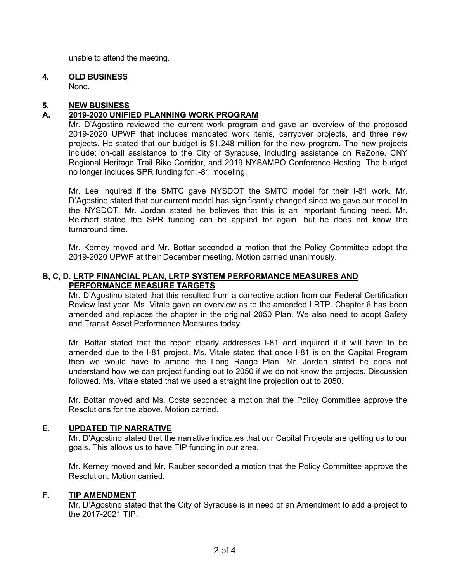unable to attend the meeting.

# **4. OLD BUSINESS**

None.

# **5. NEW BUSINESS**

# **A. 2019-2020 UNIFIED PLANNING WORK PROGRAM**

Mr. D'Agostino reviewed the current work program and gave an overview of the proposed 2019-2020 UPWP that includes mandated work items, carryover projects, and three new projects. He stated that our budget is \$1.248 million for the new program. The new projects include: on-call assistance to the City of Syracuse, including assistance on ReZone, CNY Regional Heritage Trail Bike Corridor, and 2019 NYSAMPO Conference Hosting. The budget no longer includes SPR funding for I-81 modeling.

Mr. Lee inquired if the SMTC gave NYSDOT the SMTC model for their I-81 work. Mr. D'Agostino stated that our current model has significantly changed since we gave our model to the NYSDOT. Mr. Jordan stated he believes that this is an important funding need. Mr. Reichert stated the SPR funding can be applied for again, but he does not know the turnaround time.

Mr. Kerney moved and Mr. Bottar seconded a motion that the Policy Committee adopt the 2019-2020 UPWP at their December meeting. Motion carried unanimously.

# **B, C, D. LRTP FINANCIAL PLAN, LRTP SYSTEM PERFORMANCE MEASURES AND PERFORMANCE MEASURE TARGETS**

Mr. D'Agostino stated that this resulted from a corrective action from our Federal Certification Review last year. Ms. Vitale gave an overview as to the amended LRTP. Chapter 6 has been amended and replaces the chapter in the original 2050 Plan. We also need to adopt Safety and Transit Asset Performance Measures today.

Mr. Bottar stated that the report clearly addresses I-81 and inquired if it will have to be amended due to the I-81 project. Ms. Vitale stated that once I-81 is on the Capital Program then we would have to amend the Long Range Plan. Mr. Jordan stated he does not understand how we can project funding out to 2050 if we do not know the projects. Discussion followed. Ms. Vitale stated that we used a straight line projection out to 2050.

Mr. Bottar moved and Ms. Costa seconded a motion that the Policy Committee approve the Resolutions for the above. Motion carried.

# **E. UPDATED TIP NARRATIVE**

Mr. D'Agostino stated that the narrative indicates that our Capital Projects are getting us to our goals. This allows us to have TIP funding in our area.

Mr. Kerney moved and Mr. Rauber seconded a motion that the Policy Committee approve the Resolution. Motion carried.

# **F. TIP AMENDMENT**

Mr. D'Agostino stated that the City of Syracuse is in need of an Amendment to add a project to the 2017-2021 TIP.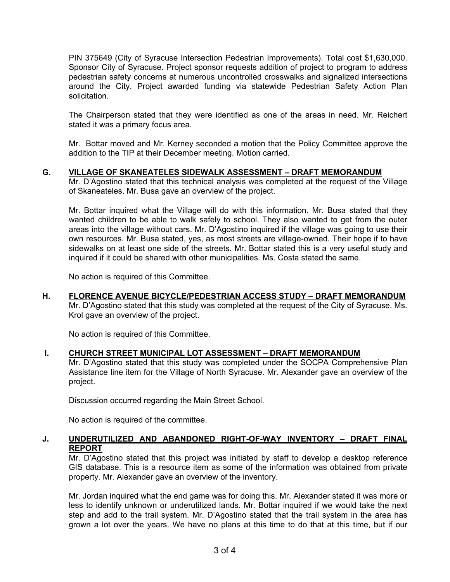PIN 375649 (City of Syracuse Intersection Pedestrian Improvements). Total cost \$1,630,000. Sponsor City of Syracuse. Project sponsor requests addition of project to program to address pedestrian safety concerns at numerous uncontrolled crosswalks and signalized intersections around the City. Project awarded funding via statewide Pedestrian Safety Action Plan solicitation.

The Chairperson stated that they were identified as one of the areas in need. Mr. Reichert stated it was a primary focus area.

Mr. Bottar moved and Mr. Kerney seconded a motion that the Policy Committee approve the addition to the TIP at their December meeting. Motion carried.

### **G. VILLAGE OF SKANEATELES SIDEWALK ASSESSMENT – DRAFT MEMORANDUM**

Mr. D'Agostino stated that this technical analysis was completed at the request of the Village of Skaneateles. Mr. Busa gave an overview of the project.

Mr. Bottar inquired what the Village will do with this information. Mr. Busa stated that they wanted children to be able to walk safely to school. They also wanted to get from the outer areas into the village without cars. Mr. D'Agostino inquired if the village was going to use their own resources. Mr. Busa stated, yes, as most streets are village-owned. Their hope if to have sidewalks on at least one side of the streets. Mr. Bottar stated this is a very useful study and inquired if it could be shared with other municipalities. Ms. Costa stated the same.

No action is required of this Committee.

# **H. FLORENCE AVENUE BICYCLE/PEDESTRIAN ACCESS STUDY – DRAFT MEMORANDUM**

Mr. D'Agostino stated that this study was completed at the request of the City of Syracuse. Ms. Krol gave an overview of the project.

No action is required of this Committee.

# **I. CHURCH STREET MUNICIPAL LOT ASSESSMENT – DRAFT MEMORANDUM**

Mr. D'Agostino stated that this study was completed under the SOCPA Comprehensive Plan Assistance line item for the Village of North Syracuse. Mr. Alexander gave an overview of the project.

Discussion occurred regarding the Main Street School.

No action is required of the committee.

# **J. UNDERUTILIZED AND ABANDONED RIGHT-OF-WAY INVENTORY – DRAFT FINAL REPORT**

 Mr. D'Agostino stated that this project was initiated by staff to develop a desktop reference GIS database. This is a resource item as some of the information was obtained from private property. Mr. Alexander gave an overview of the inventory.

 Mr. Jordan inquired what the end game was for doing this. Mr. Alexander stated it was more or less to identify unknown or underutilized lands. Mr. Bottar inquired if we would take the next step and add to the trail system. Mr. D'Agostino stated that the trail system in the area has grown a lot over the years. We have no plans at this time to do that at this time, but if our